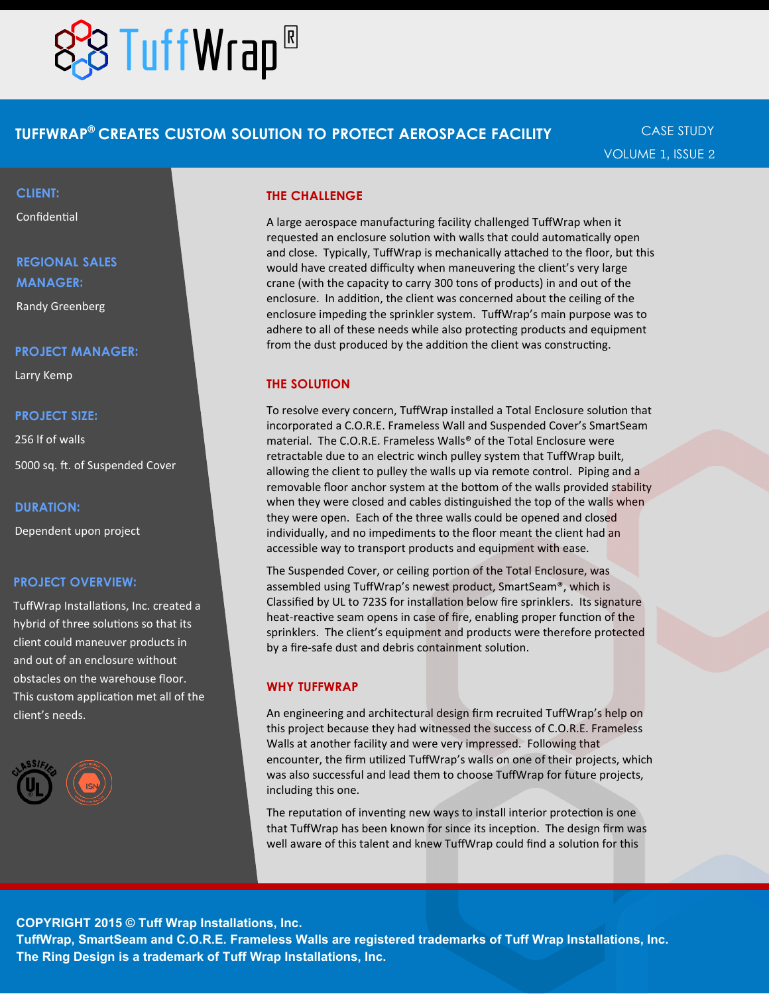# **BTuffWrap®**

### **TUFFWRAP® CREATES CUSTOM SOLUTION TO PROTECT AEROSPACE FACILITY**

CASE STUDY VOLUME 1, ISSUE 2

#### **CLIENT:**

Confidential

## **REGIONAL SALES MANAGER:**

Randy Greenberg

#### **PROJECT MANAGER:**

Larry Kemp

#### **PROJECT SIZE:**

256 lf of walls 5000 sq. ft. of Suspended Cover

#### **DURATION:**

Dependent upon project

#### **PROJECT OVERVIEW:**

TuffWrap Installations, Inc. created a hybrid of three solutions so that its client could maneuver products in and out of an enclosure without obstacles on the warehouse floor. This custom application met all of the client's needs.



#### **THE CHALLENGE**

A large aerospace manufacturing facility challenged TuffWrap when it requested an enclosure solution with walls that could automatically open and close. Typically, TuffWrap is mechanically attached to the floor, but this would have created difficulty when maneuvering the client's very large crane (with the capacity to carry 300 tons of products) in and out of the enclosure. In addition, the client was concerned about the ceiling of the enclosure impeding the sprinkler system. TuffWrap's main purpose was to adhere to all of these needs while also protecting products and equipment from the dust produced by the addition the client was constructing.

#### **THE SOLUTION**

To resolve every concern, TuffWrap installed a Total Enclosure solution that incorporated a C.O.R.E. Frameless Wall and Suspended Cover's SmartSeam material. The C.O.R.E. Frameless Walls® of the Total Enclosure were retractable due to an electric winch pulley system that TuffWrap built, allowing the client to pulley the walls up via remote control. Piping and a removable floor anchor system at the bottom of the walls provided stability when they were closed and cables distinguished the top of the walls when they were open. Each of the three walls could be opened and closed individually, and no impediments to the floor meant the client had an accessible way to transport products and equipment with ease.

The Suspended Cover, or ceiling portion of the Total Enclosure, was assembled using TuffWrap's newest product, SmartSeam®, which is Classified by UL to 723S for installation below fire sprinklers. Its signature heat-reactive seam opens in case of fire, enabling proper function of the sprinklers. The client's equipment and products were therefore protected by a fire-safe dust and debris containment solution.

#### **WHY TUFFWRAP**

An engineering and architectural design firm recruited TuffWrap's help on this project because they had witnessed the success of C.O.R.E. Frameless Walls at another facility and were very impressed. Following that encounter, the firm utilized TuffWrap's walls on one of their projects, which was also successful and lead them to choose TuffWrap for future projects, including this one.

The reputation of inventing new ways to install interior protection is one that TuffWrap has been known for since its inception. The design firm was well aware of this talent and knew TuffWrap could find a solution for this

**COPYRIGHT 2015 © Tuff Wrap Installations, Inc.**

**TuffWrap, SmartSeam and C.O.R.E. Frameless Walls are registered trademarks of Tuff Wrap Installations, Inc. The Ring Design is a trademark of Tuff Wrap Installations, Inc.**